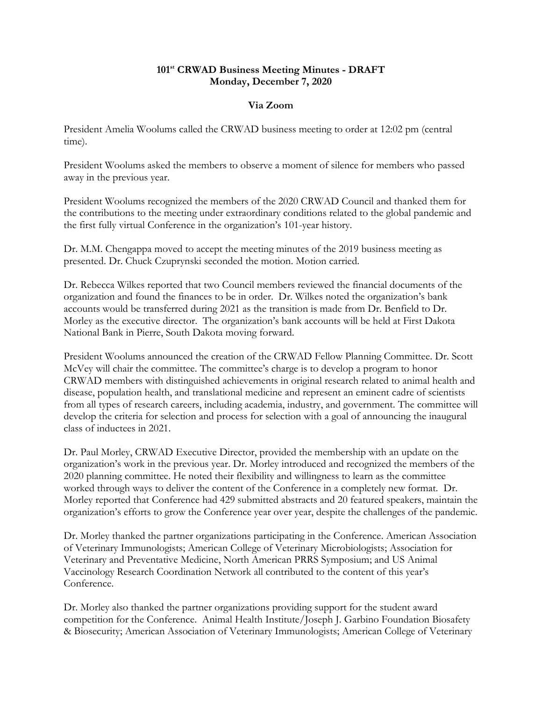## **101st CRWAD Business Meeting Minutes - DRAFT Monday, December 7, 2020**

## **Via Zoom**

President Amelia Woolums called the CRWAD business meeting to order at 12:02 pm (central time).

President Woolums asked the members to observe a moment of silence for members who passed away in the previous year.

President Woolums recognized the members of the 2020 CRWAD Council and thanked them for the contributions to the meeting under extraordinary conditions related to the global pandemic and the first fully virtual Conference in the organization's 101-year history.

Dr. M.M. Chengappa moved to accept the meeting minutes of the 2019 business meeting as presented. Dr. Chuck Czuprynski seconded the motion. Motion carried.

Dr. Rebecca Wilkes reported that two Council members reviewed the financial documents of the organization and found the finances to be in order. Dr. Wilkes noted the organization's bank accounts would be transferred during 2021 as the transition is made from Dr. Benfield to Dr. Morley as the executive director. The organization's bank accounts will be held at First Dakota National Bank in Pierre, South Dakota moving forward.

President Woolums announced the creation of the CRWAD Fellow Planning Committee. Dr. Scott McVey will chair the committee. The committee's charge is to develop a program to honor CRWAD members with distinguished achievements in original research related to animal health and disease, population health, and translational medicine and represent an eminent cadre of scientists from all types of research careers, including academia, industry, and government. The committee will develop the criteria for selection and process for selection with a goal of announcing the inaugural class of inductees in 2021.

Dr. Paul Morley, CRWAD Executive Director, provided the membership with an update on the organization's work in the previous year. Dr. Morley introduced and recognized the members of the 2020 planning committee. He noted their flexibility and willingness to learn as the committee worked through ways to deliver the content of the Conference in a completely new format. Dr. Morley reported that Conference had 429 submitted abstracts and 20 featured speakers, maintain the organization's efforts to grow the Conference year over year, despite the challenges of the pandemic.

Dr. Morley thanked the partner organizations participating in the Conference. American Association of Veterinary Immunologists; American College of Veterinary Microbiologists; Association for Veterinary and Preventative Medicine, North American PRRS Symposium; and US Animal Vaccinology Research Coordination Network all contributed to the content of this year's Conference.

Dr. Morley also thanked the partner organizations providing support for the student award competition for the Conference. Animal Health Institute/Joseph J. Garbino Foundation Biosafety & Biosecurity; American Association of Veterinary Immunologists; American College of Veterinary